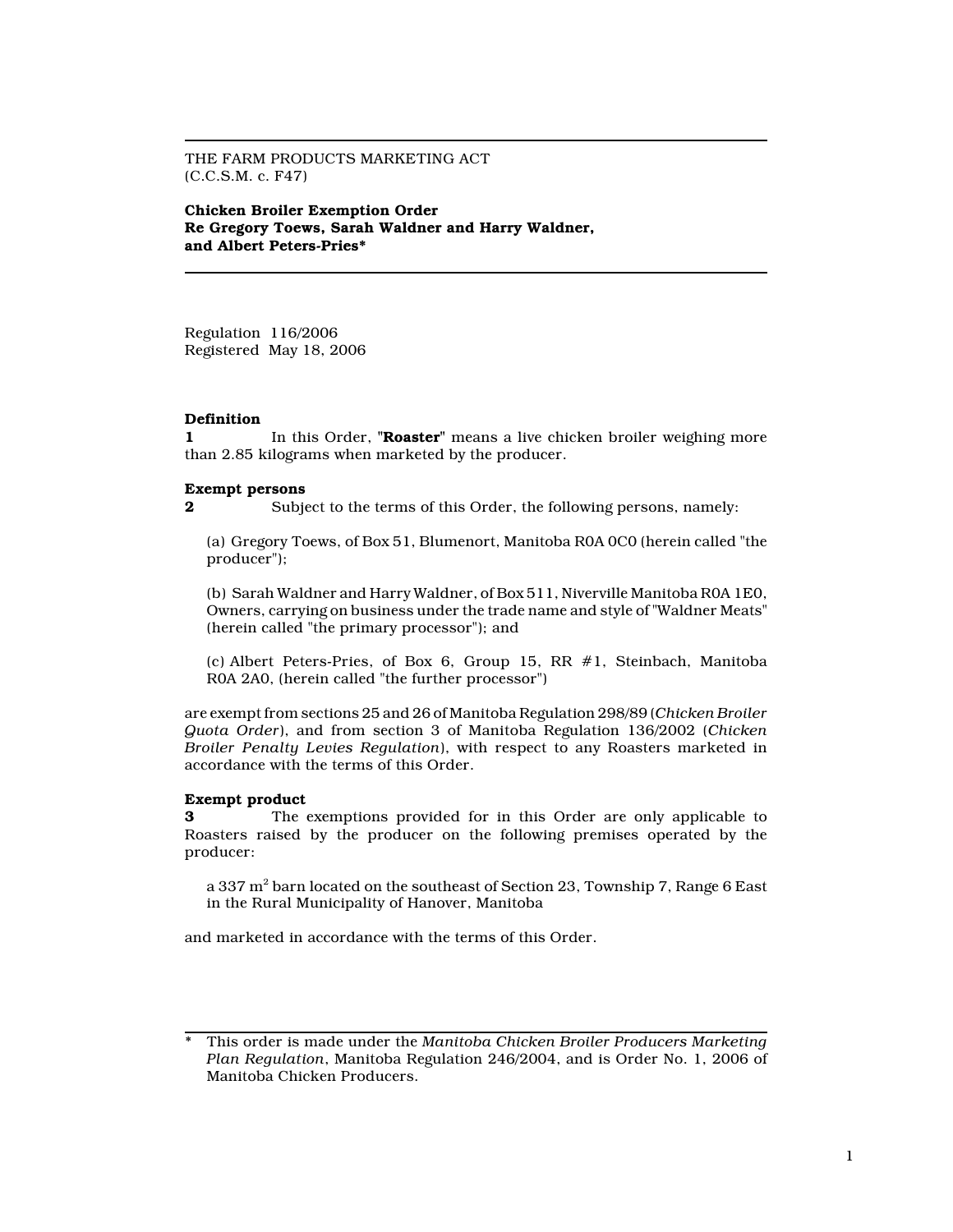THE FARM PRODUCTS MARKETING ACT (C.C.S.M. c. F47)

Chicken Broiler Exemption Order Re Gregory Toews, Sarah Waldner and Harry Waldner, and Albert Peters-Pries\*

Regulation 116/2006 Registered May 18, 2006

## **Definition**

1 In this Order, "**Roaster**" means a live chicken broiler weighing more than 2.85 kilograms when marketed by the producer.

## Exempt persons

2 Subject to the terms of this Order, the following persons, namely:

(a) Gregory Toews, of Box 51, Blumenort, Manitoba R0A 0C0 (herein called "the producer");

(b) Sarah Waldner and Harry Waldner, of Box 511, Niverville Manitoba R0A 1E0, Owners, carrying on business under the trade name and style of "Waldner Meats" (herein called "the primary processor"); and

(c) Albert Peters-Pries, of Box 6, Group 15, RR #1, Steinbach, Manitoba R0A 2A0, (herein called "the further processor")

are exempt from sections 25 and 26 of Manitoba Regulation 298/89 (Chicken Broiler Quota Order), and from section 3 of Manitoba Regulation 136/2002 (Chicken Broiler Penalty Levies Regulation), with respect to any Roasters marketed in accordance with the terms of this Order.

### Exempt product

3 The exemptions provided for in this Order are only applicable to Roasters raised by the producer on the following premises operated by the producer:

a 337 m $^{\rm 2}$  barn located on the southeast of Section 23, Township 7, Range 6 East in the Rural Municipality of Hanover, Manitoba

and marketed in accordance with the terms of this Order.

This order is made under the Manitoba Chicken Broiler Producers Marketing Plan Regulation, Manitoba Regulation 246/2004, and is Order No. 1, 2006 of Manitoba Chicken Producers.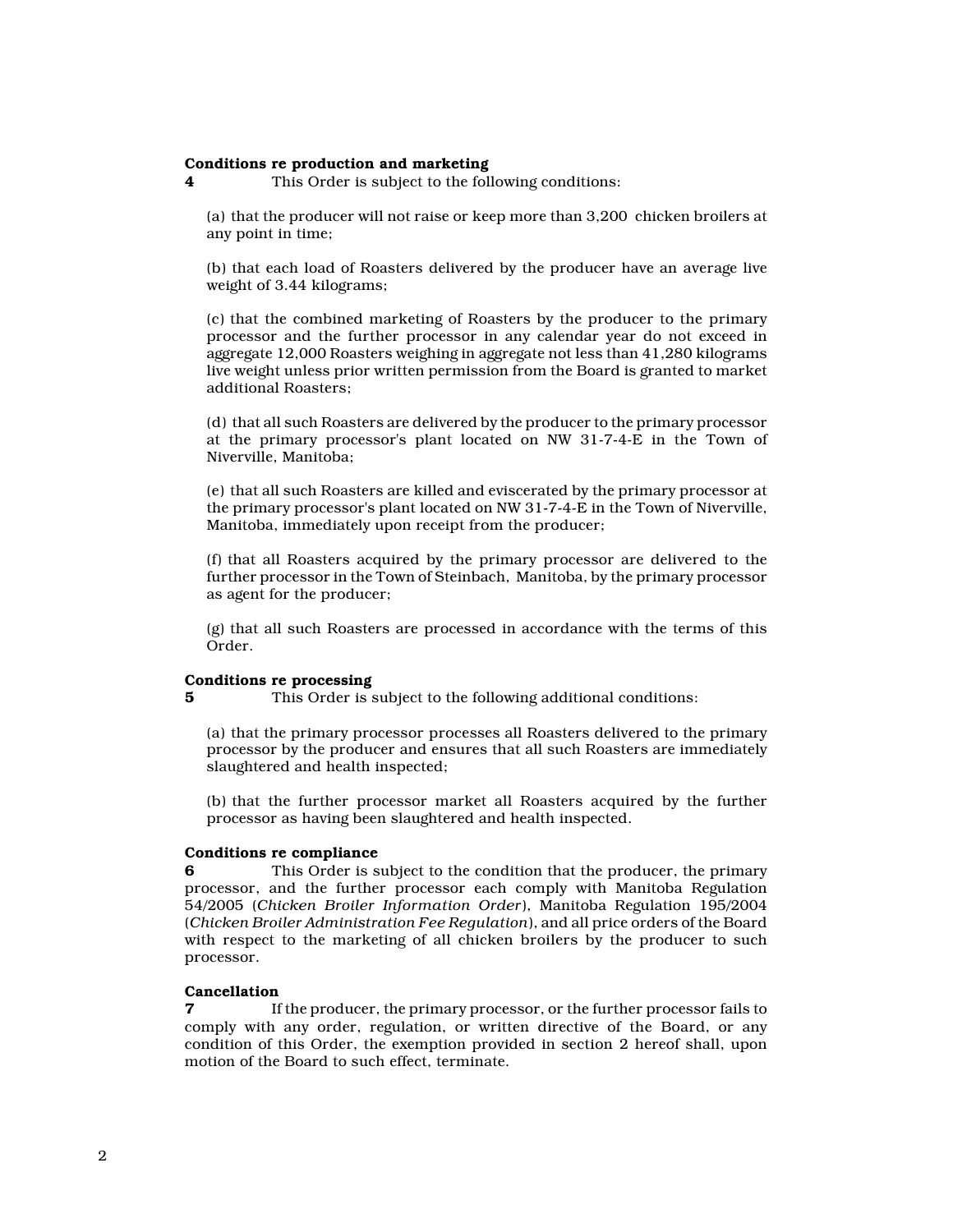#### Conditions re production and marketing

4 This Order is subject to the following conditions:

(a) that the producer will not raise or keep more than 3,200 chicken broilers at any point in time;

(b) that each load of Roasters delivered by the producer have an average live weight of 3.44 kilograms;

(c) that the combined marketing of Roasters by the producer to the primary processor and the further processor in any calendar year do not exceed in aggregate 12,000 Roasters weighing in aggregate not less than 41,280 kilograms live weight unless prior written permission from the Board is granted to market additional Roasters;

(d) that all such Roasters are delivered by the producer to the primary processor at the primary processor's plant located on NW 31-7-4-E in the Town of Niverville, Manitoba;

(e) that all such Roasters are killed and eviscerated by the primary processor at the primary processor's plant located on NW 31-7-4-E in the Town of Niverville, Manitoba, immediately upon receipt from the producer;

(f) that all Roasters acquired by the primary processor are delivered to the further processor in the Town of Steinbach, Manitoba, by the primary processor as agent for the producer;

(g) that all such Roasters are processed in accordance with the terms of this Order.

#### Conditions re processing

5 This Order is subject to the following additional conditions:

(a) that the primary processor processes all Roasters delivered to the primary processor by the producer and ensures that all such Roasters are immediately slaughtered and health inspected;

(b) that the further processor market all Roasters acquired by the further processor as having been slaughtered and health inspected.

### Conditions re compliance

This Order is subject to the condition that the producer, the primary processor, and the further processor each comply with Manitoba Regulation 54/2005 (Chicken Broiler Information Order), Manitoba Regulation 195/2004 (Chicken Broiler Administration Fee Regulation), and all price orders of the Board with respect to the marketing of all chicken broilers by the producer to such processor.

# **Cancellation**<br>7 If

If the producer, the primary processor, or the further processor fails to comply with any order, regulation, or written directive of the Board, or any condition of this Order, the exemption provided in section 2 hereof shall, upon motion of the Board to such effect, terminate.